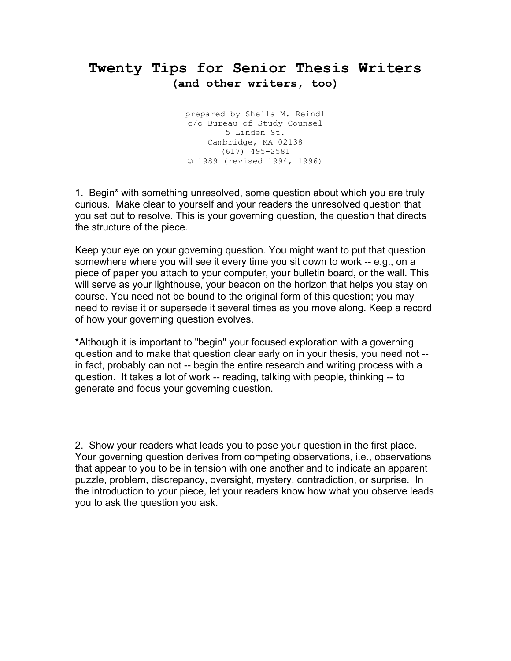## **Twenty Tips for Senior Thesis Writers (and other writers, too)**

prepared by Sheila M. Reindl c/o Bureau of Study Counsel 5 Linden St. Cambridge, MA 02138 (617) 495-2581 © 1989 (revised 1994, 1996)

1. Begin\* with something unresolved, some question about which you are truly curious. Make clear to yourself and your readers the unresolved question that you set out to resolve. This is your governing question, the question that directs the structure of the piece.

Keep your eye on your governing question. You might want to put that question somewhere where you will see it every time you sit down to work -- e.g., on a piece of paper you attach to your computer, your bulletin board, or the wall. This will serve as your lighthouse, your beacon on the horizon that helps you stay on course. You need not be bound to the original form of this question; you may need to revise it or supersede it several times as you move along. Keep a record of how your governing question evolves.

\*Although it is important to "begin" your focused exploration with a governing question and to make that question clear early on in your thesis, you need not - in fact, probably can not -- begin the entire research and writing process with a question. It takes a lot of work -- reading, talking with people, thinking -- to generate and focus your governing question.

2. Show your readers what leads you to pose your question in the first place. Your governing question derives from competing observations, i.e., observations that appear to you to be in tension with one another and to indicate an apparent puzzle, problem, discrepancy, oversight, mystery, contradiction, or surprise. In the introduction to your piece, let your readers know how what you observe leads you to ask the question you ask.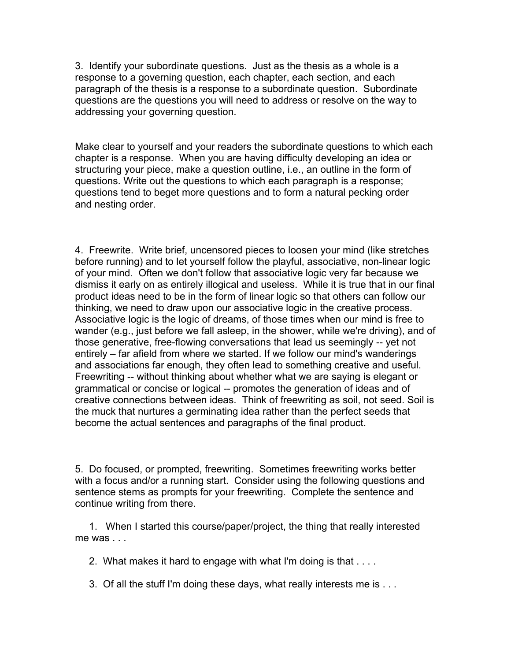3. Identify your subordinate questions. Just as the thesis as a whole is a response to a governing question, each chapter, each section, and each paragraph of the thesis is a response to a subordinate question. Subordinate questions are the questions you will need to address or resolve on the way to addressing your governing question.

Make clear to yourself and your readers the subordinate questions to which each chapter is a response. When you are having difficulty developing an idea or structuring your piece, make a question outline, i.e., an outline in the form of questions. Write out the questions to which each paragraph is a response; questions tend to beget more questions and to form a natural pecking order and nesting order.

4. Freewrite. Write brief, uncensored pieces to loosen your mind (like stretches before running) and to let yourself follow the playful, associative, non-linear logic of your mind. Often we don't follow that associative logic very far because we dismiss it early on as entirely illogical and useless. While it is true that in our final product ideas need to be in the form of linear logic so that others can follow our thinking, we need to draw upon our associative logic in the creative process. Associative logic is the logic of dreams, of those times when our mind is free to wander (e.g., just before we fall asleep, in the shower, while we're driving), and of those generative, free-flowing conversations that lead us seemingly -- yet not entirely – far afield from where we started. If we follow our mind's wanderings and associations far enough, they often lead to something creative and useful. Freewriting -- without thinking about whether what we are saying is elegant or grammatical or concise or logical -- promotes the generation of ideas and of creative connections between ideas. Think of freewriting as soil, not seed. Soil is the muck that nurtures a germinating idea rather than the perfect seeds that become the actual sentences and paragraphs of the final product.

5. Do focused, or prompted, freewriting. Sometimes freewriting works better with a focus and/or a running start. Consider using the following questions and sentence stems as prompts for your freewriting. Complete the sentence and continue writing from there.

 1. When I started this course/paper/project, the thing that really interested me was . . .

2. What makes it hard to engage with what I'm doing is that . . . .

3. Of all the stuff I'm doing these days, what really interests me is . . .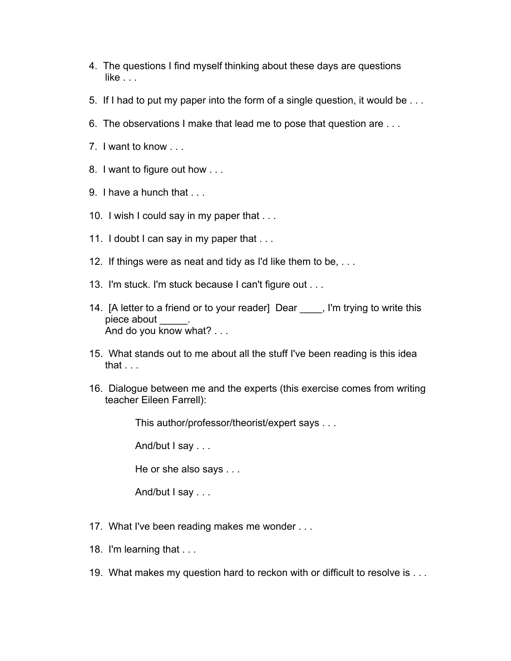- 4. The questions I find myself thinking about these days are questions  $like...$
- 5. If I had to put my paper into the form of a single question, it would be . . .
- 6. The observations I make that lead me to pose that question are . . .
- 7. I want to know . . .
- 8. I want to figure out how . . .
- 9. I have a hunch that . . .
- 10. I wish I could say in my paper that . . .
- 11. I doubt I can say in my paper that ...
- 12. If things were as neat and tidy as I'd like them to be, . . .
- 13. I'm stuck. I'm stuck because I can't figure out . . .
- 14. [A letter to a friend or to your reader] Dear Fig. I'm trying to write this piece about And do you know what? . . .
- 15. What stands out to me about all the stuff I've been reading is this idea that  $\ldots$
- 16. Dialogue between me and the experts (this exercise comes from writing teacher Eileen Farrell):

This author/professor/theorist/expert says . . .

And/but I say . . .

He or she also says . . .

And/but I say . . .

- 17. What I've been reading makes me wonder . . .
- 18. I'm learning that . . .
- 19. What makes my question hard to reckon with or difficult to resolve is . . .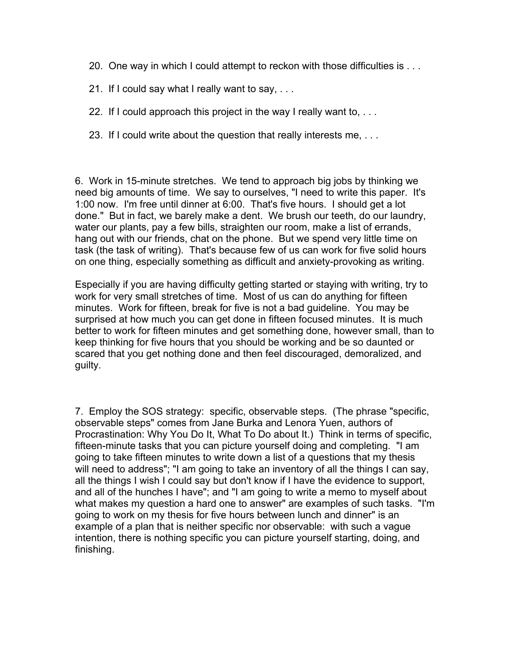- 20. One way in which I could attempt to reckon with those difficulties is . . .
- 21. If I could say what I really want to say, . . .
- 22. If I could approach this project in the way I really want to, . . .
- 23. If I could write about the question that really interests me, . . .

6. Work in 15-minute stretches. We tend to approach big jobs by thinking we need big amounts of time. We say to ourselves, "I need to write this paper. It's 1:00 now. I'm free until dinner at 6:00. That's five hours. I should get a lot done." But in fact, we barely make a dent. We brush our teeth, do our laundry, water our plants, pay a few bills, straighten our room, make a list of errands, hang out with our friends, chat on the phone. But we spend very little time on task (the task of writing). That's because few of us can work for five solid hours on one thing, especially something as difficult and anxiety-provoking as writing.

Especially if you are having difficulty getting started or staying with writing, try to work for very small stretches of time. Most of us can do anything for fifteen minutes. Work for fifteen, break for five is not a bad guideline. You may be surprised at how much you can get done in fifteen focused minutes. It is much better to work for fifteen minutes and get something done, however small, than to keep thinking for five hours that you should be working and be so daunted or scared that you get nothing done and then feel discouraged, demoralized, and guilty.

7. Employ the SOS strategy: specific, observable steps. (The phrase "specific, observable steps" comes from Jane Burka and Lenora Yuen, authors of Procrastination: Why You Do It, What To Do about It.) Think in terms of specific, fifteen-minute tasks that you can picture yourself doing and completing. "I am going to take fifteen minutes to write down a list of a questions that my thesis will need to address"; "I am going to take an inventory of all the things I can say, all the things I wish I could say but don't know if I have the evidence to support, and all of the hunches I have"; and "I am going to write a memo to myself about what makes my question a hard one to answer" are examples of such tasks. "I'm going to work on my thesis for five hours between lunch and dinner" is an example of a plan that is neither specific nor observable: with such a vague intention, there is nothing specific you can picture yourself starting, doing, and finishing.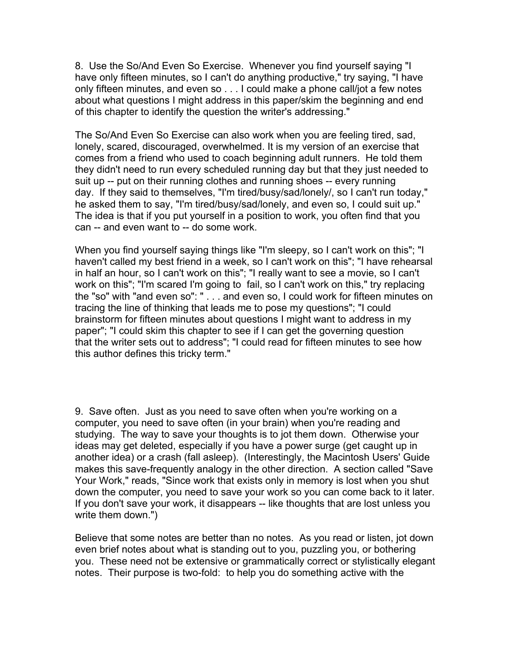8. Use the So/And Even So Exercise. Whenever you find yourself saying "I have only fifteen minutes, so I can't do anything productive," try saying, "I have only fifteen minutes, and even so . . . I could make a phone call/jot a few notes about what questions I might address in this paper/skim the beginning and end of this chapter to identify the question the writer's addressing."

The So/And Even So Exercise can also work when you are feeling tired, sad, lonely, scared, discouraged, overwhelmed. It is my version of an exercise that comes from a friend who used to coach beginning adult runners. He told them they didn't need to run every scheduled running day but that they just needed to suit up -- put on their running clothes and running shoes -- every running day. If they said to themselves, "I'm tired/busy/sad/lonely/, so I can't run today," he asked them to say, "I'm tired/busy/sad/lonely, and even so, I could suit up." The idea is that if you put yourself in a position to work, you often find that you can -- and even want to -- do some work.

When you find yourself saying things like "I'm sleepy, so I can't work on this"; "I haven't called my best friend in a week, so I can't work on this"; "I have rehearsal in half an hour, so I can't work on this"; "I really want to see a movie, so I can't work on this"; "I'm scared I'm going to fail, so I can't work on this," try replacing the "so" with "and even so": " . . . and even so, I could work for fifteen minutes on tracing the line of thinking that leads me to pose my questions"; "I could brainstorm for fifteen minutes about questions I might want to address in my paper"; "I could skim this chapter to see if I can get the governing question that the writer sets out to address"; "I could read for fifteen minutes to see how this author defines this tricky term."

9. Save often. Just as you need to save often when you're working on a computer, you need to save often (in your brain) when you're reading and studying. The way to save your thoughts is to jot them down. Otherwise your ideas may get deleted, especially if you have a power surge (get caught up in another idea) or a crash (fall asleep). (Interestingly, the Macintosh Users' Guide makes this save-frequently analogy in the other direction. A section called "Save Your Work," reads, "Since work that exists only in memory is lost when you shut down the computer, you need to save your work so you can come back to it later. If you don't save your work, it disappears -- like thoughts that are lost unless you write them down.")

Believe that some notes are better than no notes. As you read or listen, jot down even brief notes about what is standing out to you, puzzling you, or bothering you. These need not be extensive or grammatically correct or stylistically elegant notes. Their purpose is two-fold: to help you do something active with the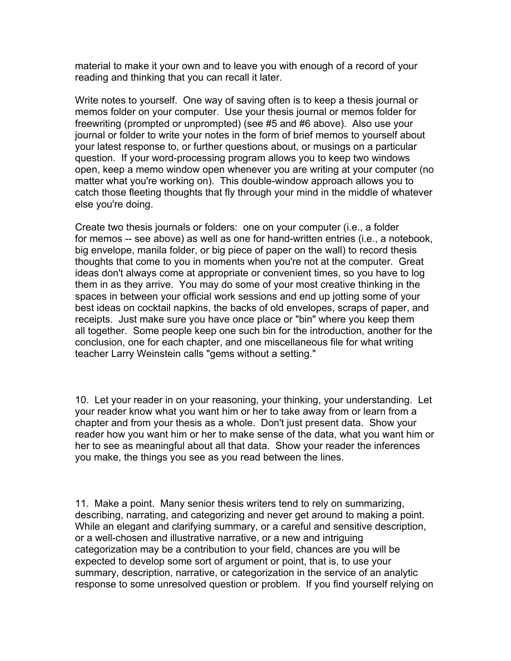material to make it your own and to leave you with enough of a record of your reading and thinking that you can recall it later.

Write notes to yourself. One way of saving often is to keep a thesis journal or memos folder on your computer. Use your thesis journal or memos folder for freewriting (prompted or unprompted) (see #5 and #6 above). Also use your journal or folder to write your notes in the form of brief memos to yourself about your latest response to, or further questions about, or musings on a particular question. If your word-processing program allows you to keep two windows open, keep a memo window open whenever you are writing at your computer (no matter what you're working on). This double-window approach allows you to catch those fleeting thoughts that fly through your mind in the middle of whatever else you're doing.

Create two thesis journals or folders: one on your computer (i.e., a folder for memos -- see above) as well as one for hand-written entries (i.e., a notebook, big envelope, manila folder, or big piece of paper on the wall) to record thesis thoughts that come to you in moments when you're not at the computer. Great ideas don't always come at appropriate or convenient times, so you have to log them in as they arrive. You may do some of your most creative thinking in the spaces in between your official work sessions and end up jotting some of your best ideas on cocktail napkins, the backs of old envelopes, scraps of paper, and receipts. Just make sure you have once place or "bin" where you keep them all together. Some people keep one such bin for the introduction, another for the conclusion, one for each chapter, and one miscellaneous file for what writing teacher Larry Weinstein calls "gems without a setting."

10. Let your reader in on your reasoning, your thinking, your understanding. Let your reader know what you want him or her to take away from or learn from a chapter and from your thesis as a whole. Don't just present data. Show your reader how you want him or her to make sense of the data, what you want him or her to see as meaningful about all that data. Show your reader the inferences you make, the things you see as you read between the lines.

11. Make a point. Many senior thesis writers tend to rely on summarizing, describing, narrating, and categorizing and never get around to making a point. While an elegant and clarifying summary, or a careful and sensitive description, or a well-chosen and illustrative narrative, or a new and intriguing categorization may be a contribution to your field, chances are you will be expected to develop some sort of argument or point, that is, to use your summary, description, narrative, or categorization in the service of an analytic response to some unresolved question or problem. If you find yourself relying on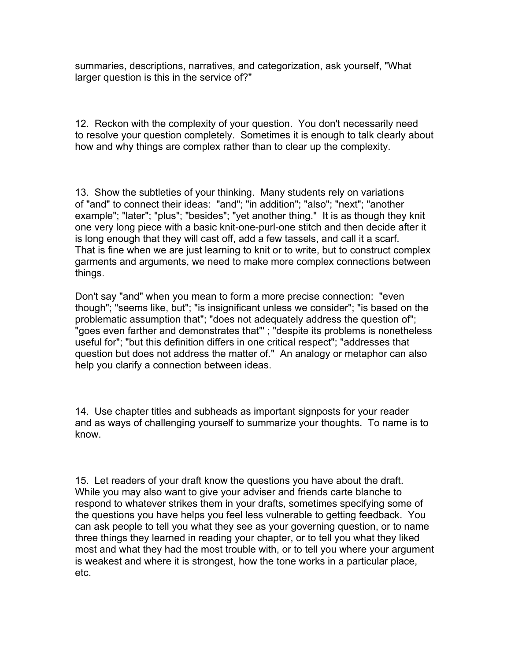summaries, descriptions, narratives, and categorization, ask yourself, "What larger question is this in the service of?"

12. Reckon with the complexity of your question. You don't necessarily need to resolve your question completely. Sometimes it is enough to talk clearly about how and why things are complex rather than to clear up the complexity.

13. Show the subtleties of your thinking. Many students rely on variations of "and" to connect their ideas: "and"; "in addition"; "also"; "next"; "another example"; "later"; "plus"; "besides"; "yet another thing." It is as though they knit one very long piece with a basic knit-one-purl-one stitch and then decide after it is long enough that they will cast off, add a few tassels, and call it a scarf. That is fine when we are just learning to knit or to write, but to construct complex garments and arguments, we need to make more complex connections between things.

Don't say "and" when you mean to form a more precise connection: "even though"; "seems like, but"; "is insignificant unless we consider"; "is based on the problematic assumption that"; "does not adequately address the question of"; "goes even farther and demonstrates that"' ; "despite its problems is nonetheless useful for"; "but this definition differs in one critical respect"; "addresses that question but does not address the matter of." An analogy or metaphor can also help you clarify a connection between ideas.

14. Use chapter titles and subheads as important signposts for your reader and as ways of challenging yourself to summarize your thoughts. To name is to know.

15. Let readers of your draft know the questions you have about the draft. While you may also want to give your adviser and friends carte blanche to respond to whatever strikes them in your drafts, sometimes specifying some of the questions you have helps you feel less vulnerable to getting feedback. You can ask people to tell you what they see as your governing question, or to name three things they learned in reading your chapter, or to tell you what they liked most and what they had the most trouble with, or to tell you where your argument is weakest and where it is strongest, how the tone works in a particular place, etc.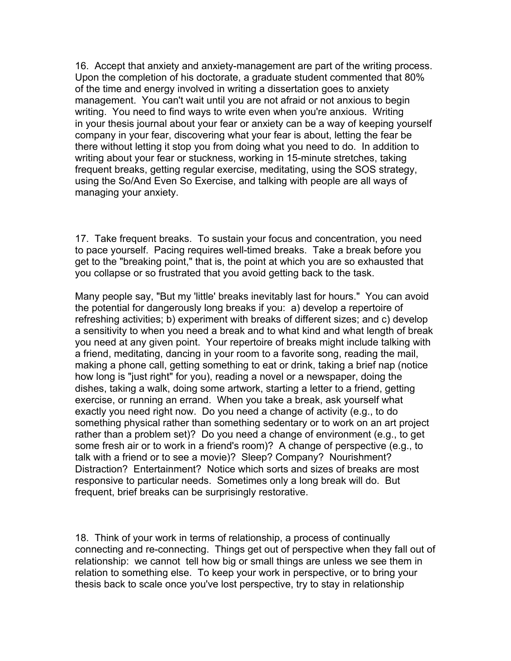16. Accept that anxiety and anxiety-management are part of the writing process. Upon the completion of his doctorate, a graduate student commented that 80% of the time and energy involved in writing a dissertation goes to anxiety management. You can't wait until you are not afraid or not anxious to begin writing. You need to find ways to write even when you're anxious. Writing in your thesis journal about your fear or anxiety can be a way of keeping yourself company in your fear, discovering what your fear is about, letting the fear be there without letting it stop you from doing what you need to do. In addition to writing about your fear or stuckness, working in 15-minute stretches, taking frequent breaks, getting regular exercise, meditating, using the SOS strategy, using the So/And Even So Exercise, and talking with people are all ways of managing your anxiety.

17. Take frequent breaks. To sustain your focus and concentration, you need to pace yourself. Pacing requires well-timed breaks. Take a break before you get to the "breaking point," that is, the point at which you are so exhausted that you collapse or so frustrated that you avoid getting back to the task.

Many people say, "But my 'little' breaks inevitably last for hours." You can avoid the potential for dangerously long breaks if you: a) develop a repertoire of refreshing activities; b) experiment with breaks of different sizes; and c) develop a sensitivity to when you need a break and to what kind and what length of break you need at any given point. Your repertoire of breaks might include talking with a friend, meditating, dancing in your room to a favorite song, reading the mail, making a phone call, getting something to eat or drink, taking a brief nap (notice how long is "just right" for you), reading a novel or a newspaper, doing the dishes, taking a walk, doing some artwork, starting a letter to a friend, getting exercise, or running an errand. When you take a break, ask yourself what exactly you need right now. Do you need a change of activity (e.g., to do something physical rather than something sedentary or to work on an art project rather than a problem set)? Do you need a change of environment (e.g., to get some fresh air or to work in a friend's room)? A change of perspective (e.g., to talk with a friend or to see a movie)? Sleep? Company? Nourishment? Distraction? Entertainment? Notice which sorts and sizes of breaks are most responsive to particular needs. Sometimes only a long break will do. But frequent, brief breaks can be surprisingly restorative.

18. Think of your work in terms of relationship, a process of continually connecting and re-connecting. Things get out of perspective when they fall out of relationship: we cannot tell how big or small things are unless we see them in relation to something else. To keep your work in perspective, or to bring your thesis back to scale once you've lost perspective, try to stay in relationship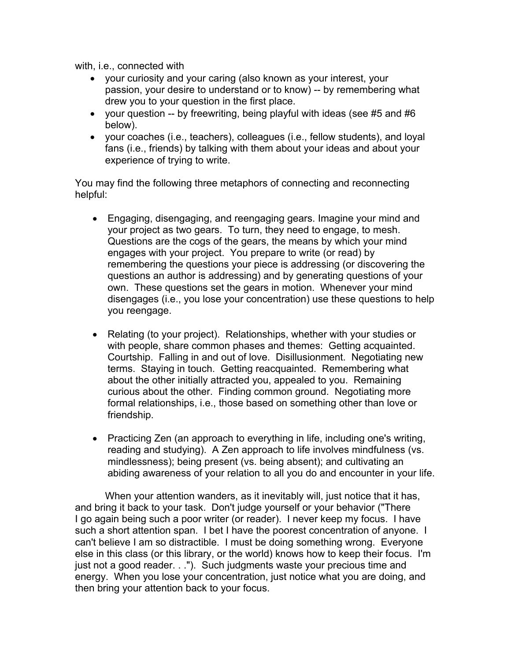with, i.e., connected with

- your curiosity and your caring (also known as your interest, your passion, your desire to understand or to know) -- by remembering what drew you to your question in the first place.
- your question -- by freewriting, being playful with ideas (see #5 and #6 below).
- your coaches (i.e., teachers), colleagues (i.e., fellow students), and loyal fans (i.e., friends) by talking with them about your ideas and about your experience of trying to write.

You may find the following three metaphors of connecting and reconnecting helpful:

- Engaging, disengaging, and reengaging gears. Imagine your mind and your project as two gears. To turn, they need to engage, to mesh. Questions are the cogs of the gears, the means by which your mind engages with your project. You prepare to write (or read) by remembering the questions your piece is addressing (or discovering the questions an author is addressing) and by generating questions of your own. These questions set the gears in motion. Whenever your mind disengages (i.e., you lose your concentration) use these questions to help you reengage.
- Relating (to your project). Relationships, whether with your studies or with people, share common phases and themes: Getting acquainted. Courtship. Falling in and out of love. Disillusionment. Negotiating new terms. Staying in touch. Getting reacquainted. Remembering what about the other initially attracted you, appealed to you. Remaining curious about the other. Finding common ground. Negotiating more formal relationships, i.e., those based on something other than love or friendship.
- Practicing Zen (an approach to everything in life, including one's writing, reading and studying). A Zen approach to life involves mindfulness (vs. mindlessness); being present (vs. being absent); and cultivating an abiding awareness of your relation to all you do and encounter in your life.

When your attention wanders, as it inevitably will, just notice that it has, and bring it back to your task. Don't judge yourself or your behavior ("There I go again being such a poor writer (or reader). I never keep my focus. I have such a short attention span. I bet I have the poorest concentration of anyone. I can't believe I am so distractible. I must be doing something wrong. Everyone else in this class (or this library, or the world) knows how to keep their focus. I'm just not a good reader. . ."). Such judgments waste your precious time and energy. When you lose your concentration, just notice what you are doing, and then bring your attention back to your focus.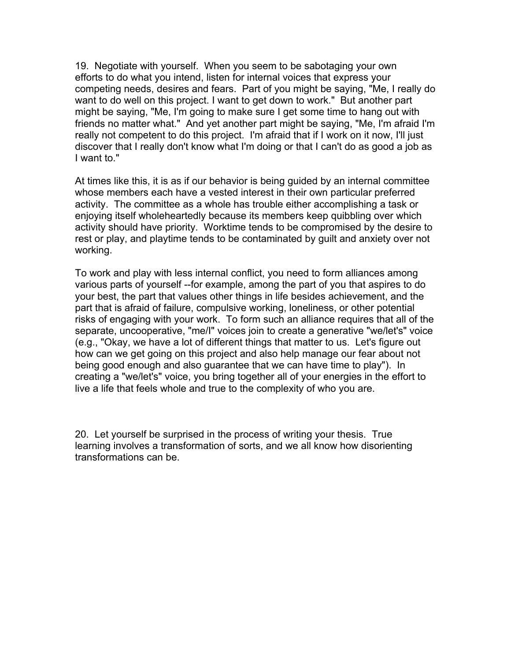19. Negotiate with yourself. When you seem to be sabotaging your own efforts to do what you intend, listen for internal voices that express your competing needs, desires and fears. Part of you might be saying, "Me, I really do want to do well on this project. I want to get down to work." But another part might be saying, "Me, I'm going to make sure I get some time to hang out with friends no matter what." And yet another part might be saying, "Me, I'm afraid I'm really not competent to do this project. I'm afraid that if I work on it now, I'll just discover that I really don't know what I'm doing or that I can't do as good a job as I want to."

At times like this, it is as if our behavior is being guided by an internal committee whose members each have a vested interest in their own particular preferred activity. The committee as a whole has trouble either accomplishing a task or enjoying itself wholeheartedly because its members keep quibbling over which activity should have priority. Worktime tends to be compromised by the desire to rest or play, and playtime tends to be contaminated by guilt and anxiety over not working.

To work and play with less internal conflict, you need to form alliances among various parts of yourself --for example, among the part of you that aspires to do your best, the part that values other things in life besides achievement, and the part that is afraid of failure, compulsive working, loneliness, or other potential risks of engaging with your work. To form such an alliance requires that all of the separate, uncooperative, "me/I" voices join to create a generative "we/let's" voice (e.g., "Okay, we have a lot of different things that matter to us. Let's figure out how can we get going on this project and also help manage our fear about not being good enough and also guarantee that we can have time to play"). In creating a "we/let's" voice, you bring together all of your energies in the effort to live a life that feels whole and true to the complexity of who you are.

20. Let yourself be surprised in the process of writing your thesis. True learning involves a transformation of sorts, and we all know how disorienting transformations can be.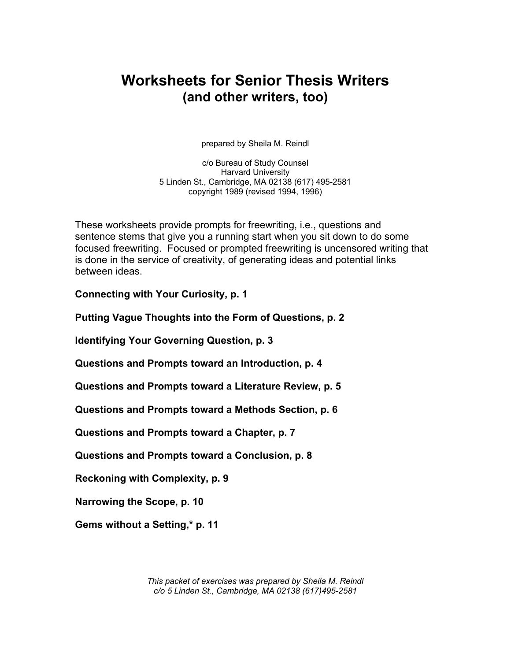# **Worksheets for Senior Thesis Writers (and other writers, too)**

prepared by Sheila M. Reindl

c/o Bureau of Study Counsel Harvard University 5 Linden St., Cambridge, MA 02138 (617) 495-2581 copyright 1989 (revised 1994, 1996)

These worksheets provide prompts for freewriting, i.e., questions and sentence stems that give you a running start when you sit down to do some focused freewriting. Focused or prompted freewriting is uncensored writing that is done in the service of creativity, of generating ideas and potential links between ideas.

**Connecting with Your Curiosity, p. 1** 

**Putting Vague Thoughts into the Form of Questions, p. 2** 

**Identifying Your Governing Question, p. 3** 

**Questions and Prompts toward an Introduction, p. 4** 

**Questions and Prompts toward a Literature Review, p. 5** 

**Questions and Prompts toward a Methods Section, p. 6** 

**Questions and Prompts toward a Chapter, p. 7** 

**Questions and Prompts toward a Conclusion, p. 8** 

**Reckoning with Complexity, p. 9** 

**Narrowing the Scope, p. 10** 

**Gems without a Setting,\* p. 11** 

*This packet of exercises was prepared by Sheila M. Reindl c/o 5 Linden St., Cambridge, MA 02138 (617)495-2581*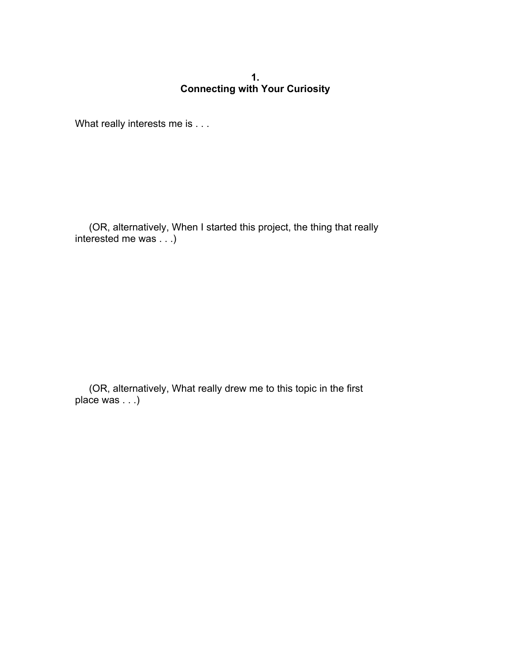## **1. Connecting with Your Curiosity**

What really interests me is . . .

 (OR, alternatively, When I started this project, the thing that really interested me was . . .)

 (OR, alternatively, What really drew me to this topic in the first place was . . .)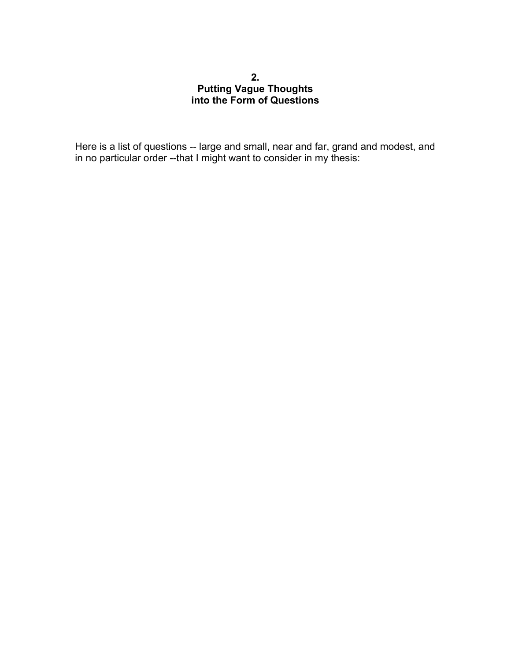## **2. Putting Vague Thoughts into the Form of Questions**

Here is a list of questions -- large and small, near and far, grand and modest, and in no particular order --that I might want to consider in my thesis: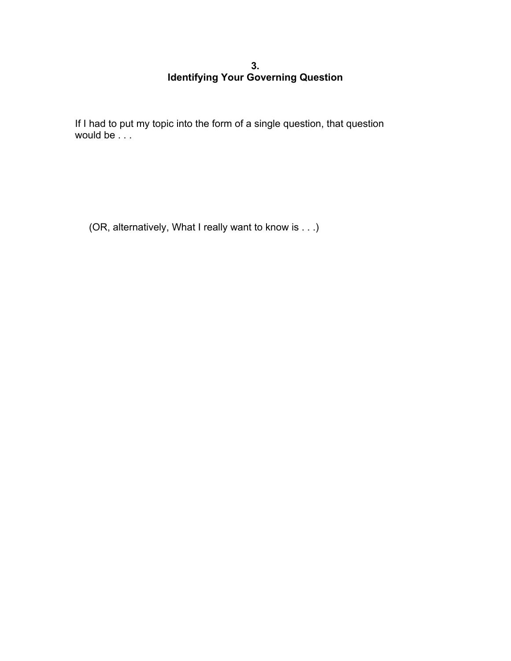## **3. Identifying Your Governing Question**

If I had to put my topic into the form of a single question, that question would be  $\ldots$ 

(OR, alternatively, What I really want to know is . . .)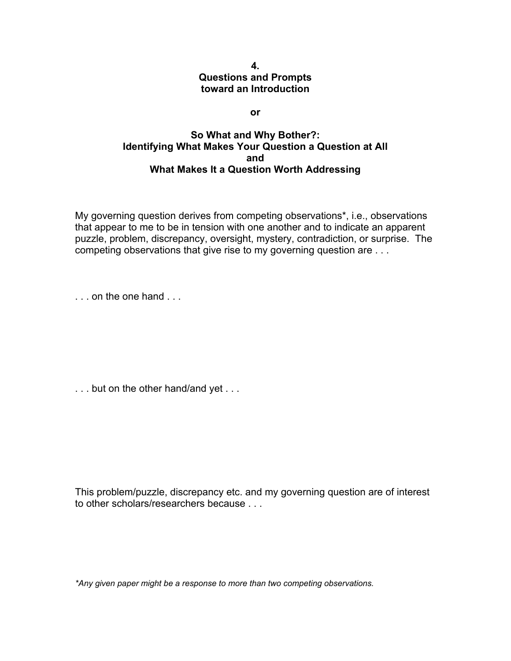#### **4. Questions and Prompts toward an Introduction**

**or** 

## **So What and Why Bother?: Identifying What Makes Your Question a Question at All and What Makes It a Question Worth Addressing**

My governing question derives from competing observations\*, i.e., observations that appear to me to be in tension with one another and to indicate an apparent puzzle, problem, discrepancy, oversight, mystery, contradiction, or surprise. The competing observations that give rise to my governing question are . . .

. . . on the one hand . . .

. . . but on the other hand/and yet . . .

This problem/puzzle, discrepancy etc. and my governing question are of interest to other scholars/researchers because . . .

*\*Any given paper might be a response to more than two competing observations.*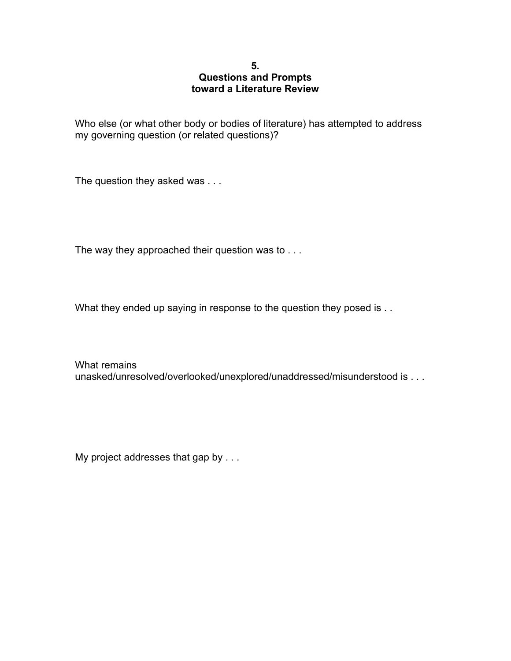#### **5. Questions and Prompts toward a Literature Review**

Who else (or what other body or bodies of literature) has attempted to address my governing question (or related questions)?

The question they asked was . . .

The way they approached their question was to . . .

What they ended up saying in response to the question they posed is . .

What remains unasked/unresolved/overlooked/unexplored/unaddressed/misunderstood is . . .

My project addresses that gap by . . .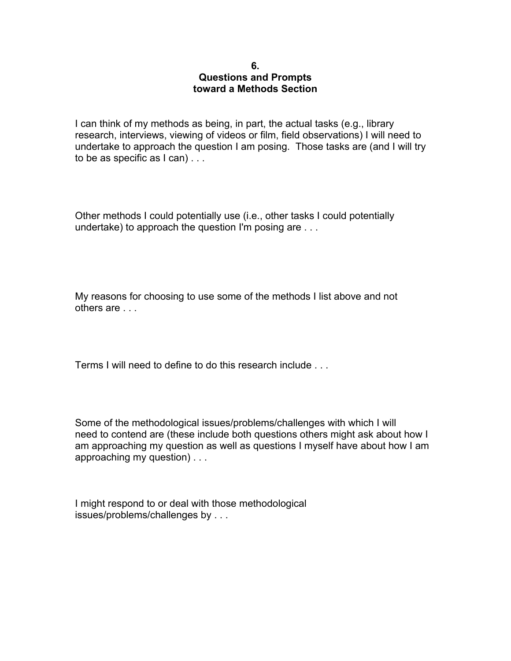#### **6. Questions and Prompts toward a Methods Section**

I can think of my methods as being, in part, the actual tasks (e.g., library research, interviews, viewing of videos or film, field observations) I will need to undertake to approach the question I am posing. Those tasks are (and I will try to be as specific as I can) . . .

Other methods I could potentially use (i.e., other tasks I could potentially undertake) to approach the question I'm posing are . . .

My reasons for choosing to use some of the methods I list above and not others are . . .

Terms I will need to define to do this research include . . .

Some of the methodological issues/problems/challenges with which I will need to contend are (these include both questions others might ask about how I am approaching my question as well as questions I myself have about how I am approaching my question) . . .

I might respond to or deal with those methodological issues/problems/challenges by . . .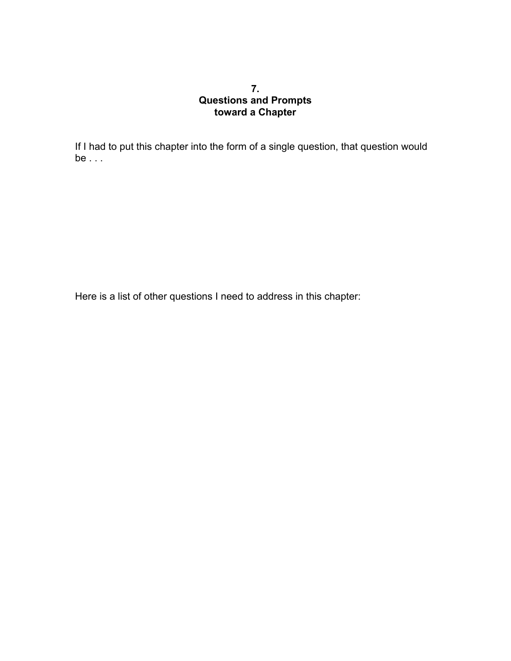## **7. Questions and Prompts toward a Chapter**

If I had to put this chapter into the form of a single question, that question would be . . .

Here is a list of other questions I need to address in this chapter: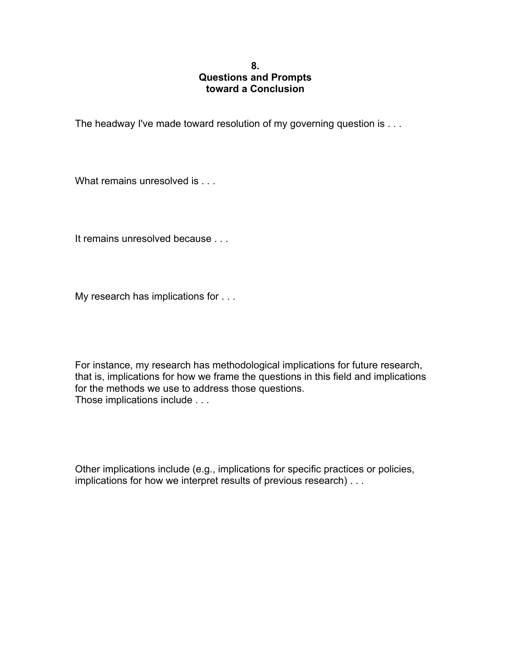#### **8. Questions and Prompts toward a Conclusion**

The headway I've made toward resolution of my governing question is . . .

What remains unresolved is . . .

It remains unresolved because . . .

My research has implications for . . .

For instance, my research has methodological implications for future research, that is, implications for how we frame the questions in this field and implications for the methods we use to address those questions. Those implications include . . .

Other implications include (e.g., implications for specific practices or policies, implications for how we interpret results of previous research) . . .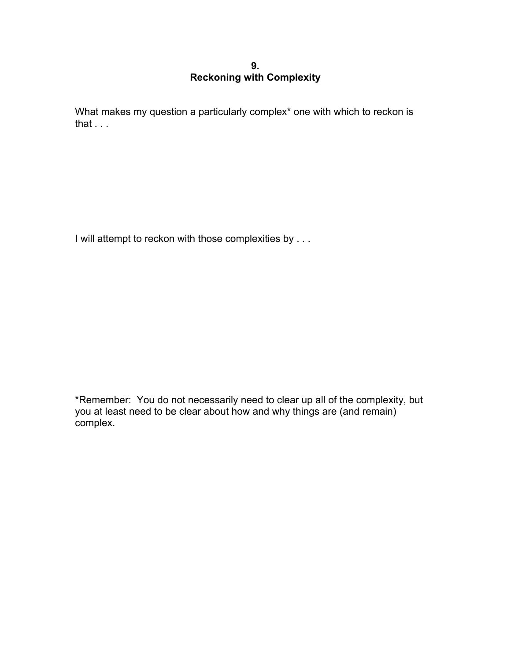## **9. Reckoning with Complexity**

What makes my question a particularly complex\* one with which to reckon is that . . .

I will attempt to reckon with those complexities by . . .

\*Remember: You do not necessarily need to clear up all of the complexity, but you at least need to be clear about how and why things are (and remain) complex.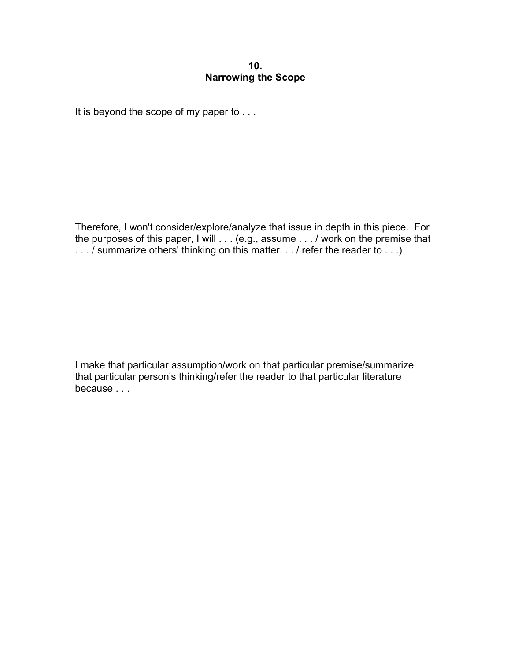#### **10. Narrowing the Scope**

It is beyond the scope of my paper to . . .

Therefore, I won't consider/explore/analyze that issue in depth in this piece. For the purposes of this paper, I will . . . (e.g., assume . . . / work on the premise that . . . / summarize others' thinking on this matter. . . / refer the reader to . . .)

I make that particular assumption/work on that particular premise/summarize that particular person's thinking/refer the reader to that particular literature because . . .